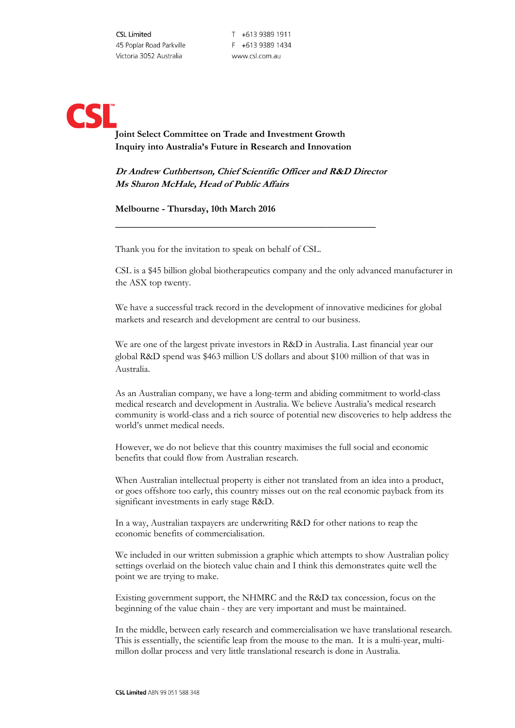T +613 9389 1911 F +613 9389 1434 www.csl.com.au

## **Joint Select Committee on Trade and Investment Growth Inquiry into Australia's Future in Research and Innovation**

**Dr Andrew Cuthbertson, Chief Scientific Officer and R&D Director Ms Sharon McHale, Head of Public Affairs**

 $\_$ 

## **Melbourne - Thursday, 10th March 2016**

Thank you for the invitation to speak on behalf of CSL.

CSL is a \$45 billion global biotherapeutics company and the only advanced manufacturer in the ASX top twenty.

We have a successful track record in the development of innovative medicines for global markets and research and development are central to our business.

We are one of the largest private investors in R&D in Australia. Last financial year our global R&D spend was \$463 million US dollars and about \$100 million of that was in Australia.

As an Australian company, we have a long-term and abiding commitment to world-class medical research and development in Australia. We believe Australia's medical research community is world-class and a rich source of potential new discoveries to help address the world's unmet medical needs.

However, we do not believe that this country maximises the full social and economic benefits that could flow from Australian research.

When Australian intellectual property is either not translated from an idea into a product, or goes offshore too early, this country misses out on the real economic payback from its significant investments in early stage R&D.

In a way, Australian taxpayers are underwriting R&D for other nations to reap the economic benefits of commercialisation.

We included in our written submission a graphic which attempts to show Australian policy settings overlaid on the biotech value chain and I think this demonstrates quite well the point we are trying to make.

Existing government support, the NHMRC and the R&D tax concession, focus on the beginning of the value chain - they are very important and must be maintained.

In the middle, between early research and commercialisation we have translational research. This is essentially, the scientific leap from the mouse to the man. It is a multi-year, multimillon dollar process and very little translational research is done in Australia.